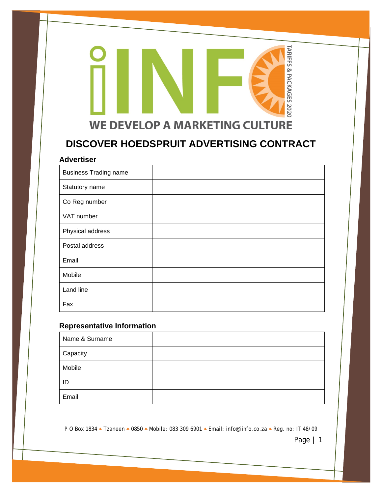# TARIFFS & PACKAGES 2020 **WE DEVELOP A MARKETING CULTURE**

# **DISCOVER HOEDSPRUIT ADVERTISING CONTRACT**

#### **Advertiser**

| <b>Business Trading name</b> |  |
|------------------------------|--|
| Statutory name               |  |
| Co Reg number                |  |
| VAT number                   |  |
| Physical address             |  |
| Postal address               |  |
| Email                        |  |
| Mobile                       |  |
| Land line                    |  |
| Fax                          |  |

## **Representative Information**

| Name & Surname |  |
|----------------|--|
| Capacity       |  |
| Mobile         |  |
| ID             |  |
| Email          |  |

P O Box 1834 **•** Tzaneen **•** 0850 **•** Mobile: 083 309 6901 **•** Email: info@iinfo.co.za **•** Reg. no: IT 48/09

Page | 1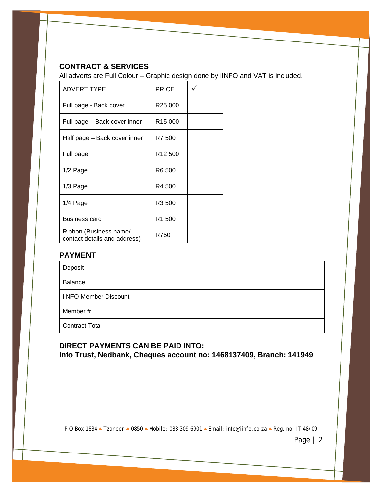## **CONTRACT & SERVICES**

All adverts are Full Colour – Graphic design done by iINFO and VAT is included.

| <b>ADVERT TYPE</b>                                     | <b>PRICE</b>        |  |
|--------------------------------------------------------|---------------------|--|
| Full page - Back cover                                 | R <sub>25</sub> 000 |  |
| Full page - Back cover inner                           | R <sub>15</sub> 000 |  |
| Half page – Back cover inner                           | R7 500              |  |
| Full page                                              | R <sub>12</sub> 500 |  |
| $1/2$ Page                                             | R6 500              |  |
| 1/3 Page                                               | R4 500              |  |
| 1/4 Page                                               | R <sub>3</sub> 500  |  |
| <b>Business card</b>                                   | R <sub>1</sub> 500  |  |
| Ribbon (Business name/<br>contact details and address) | R750                |  |

### **PAYMENT**

| Deposit               |  |
|-----------------------|--|
| Balance               |  |
| ilNFO Member Discount |  |
| Member#               |  |
| <b>Contract Total</b> |  |

## **DIRECT PAYMENTS CAN BE PAID INTO: Info Trust, Nedbank, Cheques account no: 1468137409, Branch: 141949**

P O Box 1834 **•** Tzaneen **•** 0850 **•** Mobile: 083 309 6901 **•** Email: info@iinfo.co.za **•** Reg. no: IT 48/09

Page | 2